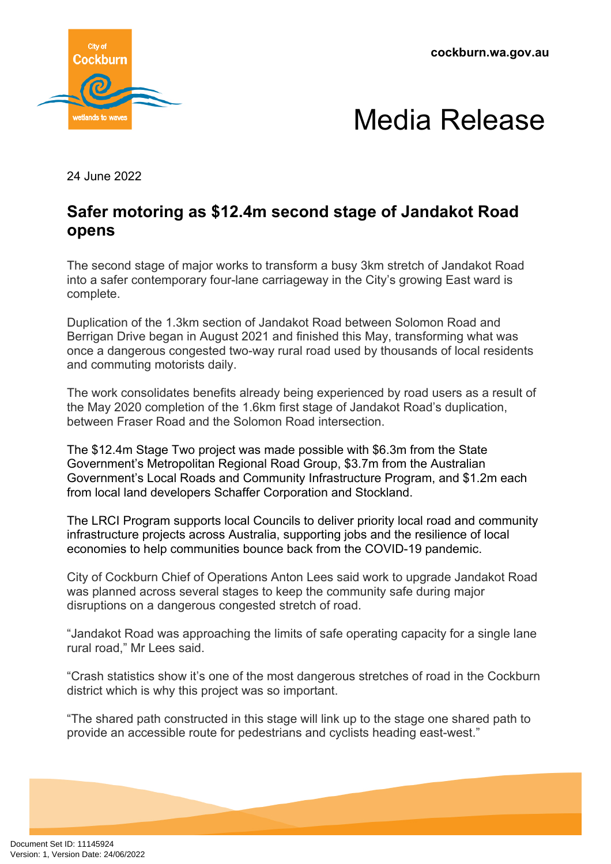**cockburn.wa.gov.au**





24 June 2022

## **Safer motoring as \$12.4m second stage of Jandakot Road opens**

The second stage of major works to transform a busy 3km stretch of Jandakot Road into a safer contemporary four-lane carriageway in the City's growing East ward is complete.

Duplication of the 1.3km section of Jandakot Road between Solomon Road and Berrigan Drive began in August 2021 and finished this May, transforming what was once a dangerous congested two-way rural road used by thousands of local residents and commuting motorists daily.

The work consolidates benefits already being experienced by road users as a result of the May 2020 completion of the 1.6km first stage of Jandakot Road's duplication, between Fraser Road and the Solomon Road intersection.

The \$12.4m Stage Two project was made possible with \$6.3m from the State Government's Metropolitan Regional Road Group, \$3.7m from the Australian Government's Local Roads and Community Infrastructure Program, and \$1.2m each from local land developers Schaffer Corporation and Stockland.

The LRCI Program supports local Councils to deliver priority local road and community infrastructure projects across Australia, supporting jobs and the resilience of local economies to help communities bounce back from the COVID-19 pandemic.

City of Cockburn Chief of Operations Anton Lees said work to upgrade Jandakot Road was planned across several stages to keep the community safe during major disruptions on a dangerous congested stretch of road.

"Jandakot Road was approaching the limits of safe operating capacity for a single lane rural road," Mr Lees said.

"Crash statistics show it's one of the most dangerous stretches of road in the Cockburn district which is why this project was so important.

"The shared path constructed in this stage will link up to the stage one shared path to provide an accessible route for pedestrians and cyclists heading east-west."

Document Set ID: 11145924<br>Version: 1, Version Date: 24/06/2022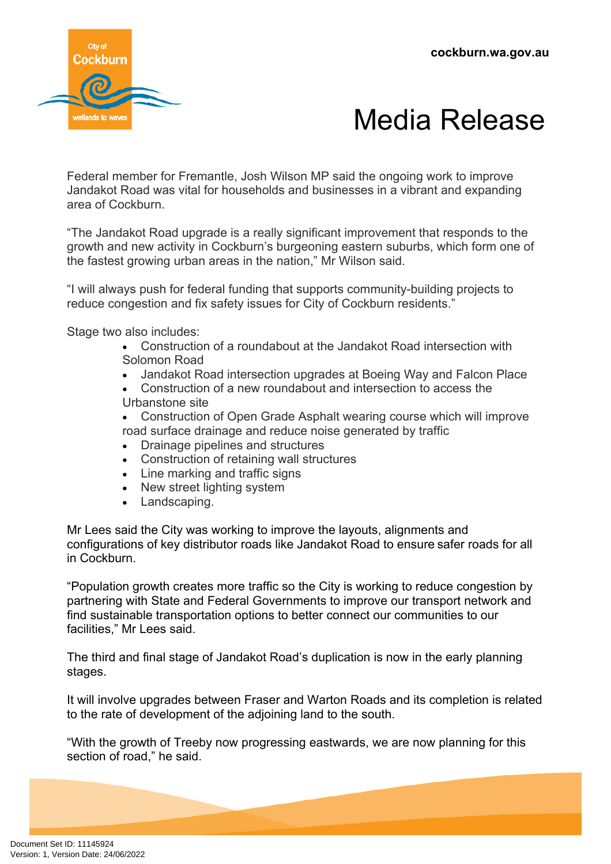



Federal member for Fremantle, Josh Wilson MP said the ongoing work to improve Jandakot Road was vital for households and businesses in a vibrant and expanding area of Cockburn.

"The Jandakot Road upgrade is a really significant improvement that responds to the growth and new activity in Cockburn's burgeoning eastern suburbs, which form one of the fastest growing urban areas in the nation," Mr Wilson said.

"I will always push for federal funding that supports community-building projects to reduce congestion and fix safety issues for City of Cockburn residents."

Stage two also includes:

- Construction of a roundabout at the Jandakot Road intersection with Solomon Road
- Jandakot Road intersection upgrades at Boeing Way and Falcon Place
- Construction of a new roundabout and intersection to access the Urbanstone site
- Construction of Open Grade Asphalt wearing course which will improve road surface drainage and reduce noise generated by traffic
- Drainage pipelines and structures
- Construction of retaining wall structures
- Line marking and traffic signs
- New street lighting system
- Landscaping.

Mr Lees said the City was working to improve the layouts, alignments and configurations of key distributor roads like Jandakot Road to ensure safer roads for all in Cockburn.

"Population growth creates more traffic so the City is working to reduce congestion by partnering with State and Federal Governments to improve our transport network and find sustainable transportation options to better connect our communities to our facilities," Mr Lees said.

The third and final stage of Jandakot Road's duplication is now in the early planning stages.

It will involve upgrades between Fraser and Warton Roads and its completion is related to the rate of development of the adjoining land to the south.

"With the growth of Treeby now progressing eastwards, we are now planning for this section of road," he said.